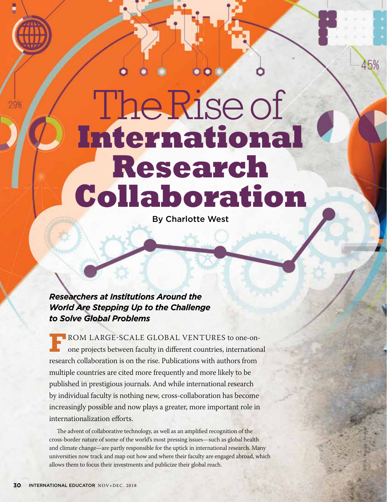The Rise of **International Research Collaboration**

By Charlotte West

# *Researchers at Institutions Around the World Are Stepping Up to the Challenge to Solve Global Problems*

**F**ROM LARGE-SCALE GLOBAL VENTURES to one-on-<br>one projects between faculty in different countries, international research collaboration is on the rise. Publications with authors from multiple countries are cited more frequently and more likely to be published in prestigious journals. And while international research by individual faculty is nothing new, cross-collaboration has become increasingly possible and now plays a greater, more important role in internationalization efforts.

The advent of collaborative technology, as well as an amplified recognition of the cross-border nature of some of the world's most pressing issues—such as global health and climate change—are partly responsible for the uptick in international research. Many universities now track and map out how and where their faculty are engaged abroad, which allows them to focus their investments and publicize their global reach.

ISTOCK / DAVIDF / AKINDO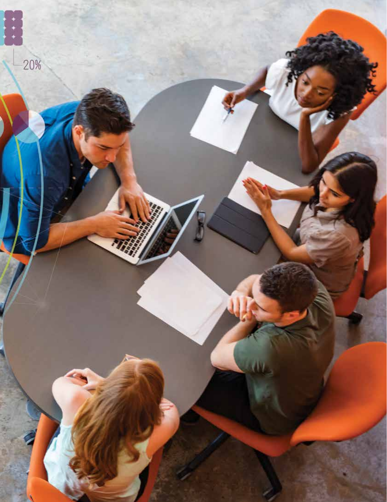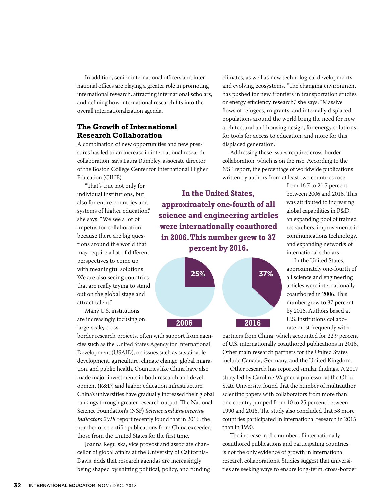In addition, senior international officers and international offices are playing a greater role in promoting international research, attracting international scholars, and defining how international research fits into the overall internationalization agenda.

## **The Growth of International Research Collaboration**

A combination of new opportunities and new pressures has led to an increase in international research collaboration, says Laura Rumbley, associate director of the Boston College Center for International Higher Education (CIHE).

"That's true not only for individual institutions, but also for entire countries and systems of higher education," she says. "We see a lot of impetus for collaboration because there are big questions around the world that may require a lot of different perspectives to come up with meaningful solutions. We are also seeing countries that are really trying to stand out on the global stage and attract talent."

Many U.S. institutions are increasingly focusing on large-scale, cross-

border research projects, often with support from agencies such as the United States Agency for International Development (USAID), on issues such as sustainable development, agriculture, climate change, global migration, and public health. Countries like China have also made major investments in both research and development (R&D) and higher education infrastructure. China's universities have gradually increased their global rankings through greater research output. The National Science Foundation's (NSF) *Science and Engineering Indicators 2018* report recently found that in 2016, the number of scientific publications from China exceeded those from the United States for the first time.

Joanna Regulska, vice provost and associate chancellor of global affairs at the University of California-Davis, adds that research agendas are increasingly being shaped by shifting political, policy, and funding climates, as well as new technological developments and evolving ecosystems. "The changing environment has pushed for new frontiers in transportation studies or energy efficiency research," she says. "Massive flows of refugees, migrants, and internally displaced populations around the world bring the need for new architectural and housing design, for energy solutions, for tools for access to education, and more for this displaced generation."

Addressing these issues requires cross-border collaboration, which is on the rise. According to the NSF report, the percentage of worldwide publications written by authors from at least two countries rose

**In the United States, approximately one-fourth of all science and engineering articles were internationally coauthored in 2006. This number grew to 37 percent by 2016.**



from 16.7 to 21.7 percent between 2006 and 2016. This was attributed to increasing global capabilities in R&D, an expanding pool of trained researchers, improvements in communications technology, and expanding networks of international scholars.

In the United States, approximately one-fourth of all science and engineering articles were internationally coauthored in 2006. This number grew to 37 percent by 2016. Authors based at U.S. institutions collaborate most frequently with

partners from China, which accounted for 22.9 percent of U.S. internationally coauthored publications in 2016. Other main research partners for the United States include Canada, Germany, and the United Kingdom.

Other research has reported similar findings. A 2017 study led by Caroline Wagner, a professor at the Ohio State University, found that the number of multiauthor scientific papers with collaborators from more than one country jumped from 10 to 25 percent between 1990 and 2015. The study also concluded that 58 more countries participated in international research in 2015 than in 1990.

The increase in the number of internationally coauthored publications and participating countries is not the only evidence of growth in international research collaborations. Studies suggest that universities are seeking ways to ensure long-term, cross-border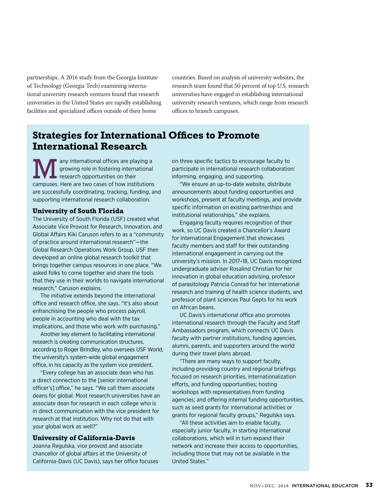partnerships. A 2016 study from the Georgia Institute of Technology (Georgia Tech) examining international university research ventures found that research universities in the United States are rapidly establishing facilities and specialized offices outside of their home

countries. Based on analysis of university websites, the research team found that 50 percent of top U.S. research universities have engaged in establishing international university research ventures, which range from research offices to branch campuses.

# **Strategies for International Offices to Promote International Research**

any international offices are playing a growing role in fostering international research opportunities on their campuses. Here are two cases of how institutions are successfully coordinating, tracking, funding, and supporting international research collaboration.

#### **University of South Florida**

The University of South Florida (USF) created what Associate Vice Provost for Research, Innovation, and Global Affairs Kiki Caruson refers to as a "community of practice around international research"—the Global Research Operations Work Group. USF then developed an online global research toolkit that brings together campus resources in one place. "We asked folks to come together and share the tools that they use in their worlds to navigate international research," Caruson explains.

The initiative extends beyond the international office and research office, she says. "It's also about enfranchising the people who process payroll, people in accounting who deal with the tax implications, and those who work with purchasing."

Another key element to facilitating international research is creating communication structures, according to Roger Brindley, who oversees USF World, the university's system-wide global engagement office, in his capacity as the system vice president.

"Every college has an associate dean who has a direct connection to the [senior international officer's] office," he says. "We call them associate deans for global. Most research universities have an associate dean for research in each college who is in direct communication with the vice president for research at that institution. Why not do that with your global work as well?"

#### **University of California-Davis**

Joanna Regulska, vice provost and associate chancellor of global affairs at the University of California-Davis (UC Davis), says her office focuses on three specific tactics to encourage faculty to participate in international research collaboration: informing, engaging, and supporting.

"We ensure an up-to-date website, distribute announcements about funding opportunities and workshops, present at faculty meetings, and provide specific information on existing partnerships and institutional relationships," she explains.

Engaging faculty requires recognition of their work, so UC Davis created a Chancellor's Award for International Engagement that showcases faculty members and staff for their outstanding international engagement in carrying out the university's mission. In 2017–18, UC Davis recognized undergraduate adviser Rosalind Christian for her innovation in global education advising, professor of parasitology Patricia Conrad for her international research and training of health science students, and professor of plant sciences Paul Gepts for his work on African beans.

UC Davis's international office also promotes international research through the Faculty and Staff Ambassadors program, which connects UC Davis faculty with partner institutions, funding agencies, alumni, parents, and supporters around the world during their travel plans abroad.

"There are many ways to support faculty, including providing country and regional briefings focused on research priorities, internationalization efforts, and funding opportunities; hosting workshops with representatives from funding agencies; and offering internal funding opportunities, such as seed grants for international activities or grants for regional faculty groups," Regulska says.

"All these activities aim to enable faculty, especially junior faculty, in starting international collaborations, which will in turn expand their network and increase their access to opportunities, including those that may not be available in the United States."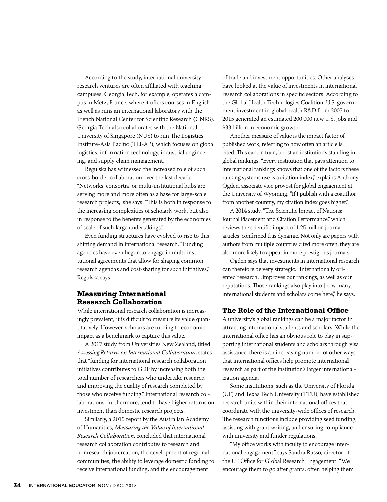According to the study, international university research ventures are often affiliated with teaching campuses. Georgia Tech, for example, operates a campus in Metz, France, where it offers courses in English as well as runs an international laboratory with the French National Center for Scientific Research (CNRS). Georgia Tech also collaborates with the National University of Singapore (NUS) to run The Logistics Institute-Asia Pacific (TLI-AP), which focuses on global logistics, information technology, industrial engineering, and supply chain management.

Regulska has witnessed the increased role of such cross-border collaboration over the last decade. "Networks, consortia, or multi-institutional hubs are serving more and more often as a base for large-scale research projects," she says. "This is both in response to the increasing complexities of scholarly work, but also in response to the benefits generated by the economies of scale of such large undertakings."

Even funding structures have evolved to rise to this shifting demand in international research. "Funding agencies have even begun to engage in multi-institutional agreements that allow for shaping common research agendas and cost-sharing for such initiatives," Regulska says.

### **Measuring International Research Collaboration**

While international research collaboration is increasingly prevalent, it is difficult to measure its value quantitatively. However, scholars are turning to economic impact as a benchmark to capture this value.

A 2017 study from Universities New Zealand, titled *Assessing Returns on International Collaboration*, states that "funding for international research collaboration initiatives contributes to GDP by increasing both the total number of researchers who undertake research and improving the quality of research completed by those who receive funding." International research collaborations, furthermore, tend to have higher returns on investment than domestic research projects.

Similarly, a 2015 report by the Australian Academy of Humanities, *Measuring the Value of International Research Collaboration*, concluded that international research collaboration contributes to research and nonresearch job creation, the development of regional communities, the ability to leverage domestic funding to receive international funding, and the encouragement

of trade and investment opportunities. Other analyses have looked at the value of investments in international research collaborations in specific sectors. According to the Global Health Technologies Coalition, U.S. government investment in global health R&D from 2007 to 2015 generated an estimated 200,000 new U.S. jobs and \$33 billion in economic growth.

Another measure of value is the impact factor of published work, referring to how often an article is cited. This can, in turn, boost an institution's standing in global rankings. "Every institution that pays attention to international rankings knows that one of the factors these ranking systems use is a citation index," explains Anthony Ogden, associate vice provost for global engagement at the University of Wyoming. "If I publish with a coauthor from another country, my citation index goes higher."

A 2014 study, "The Scientific Impact of Nations: Journal Placement and Citation Performance," which reviews the scientific impact of 1.25 million journal articles, confirmed this dynamic. Not only are papers with authors from multiple countries cited more often, they are also more likely to appear in more prestigious journals.

Ogden says that investments in international research can therefore be very strategic. "Internationally oriented research…improves our rankings, as well as our reputations. Those rankings also play into [how many] international students and scholars come here," he says.

#### **The Role of the International Office**

A university's global rankings can be a major factor in attracting international students and scholars. While the international office has an obvious role to play in supporting international students and scholars through visa assistance, there is an increasing number of other ways that international offices help promote international research as part of the institution's larger internationalization agenda.

Some institutions, such as the University of Florida (UF) and Texas Tech University (TTU), have established research units within their international offices that coordinate with the university-wide offices of research. The research functions include providing seed funding, assisting with grant writing, and ensuring compliance with university and funder regulations.

"My office works with faculty to encourage international engagement," says Sandra Russo, director of the UF Office for Global Research Engagement. "We encourage them to go after grants, often helping them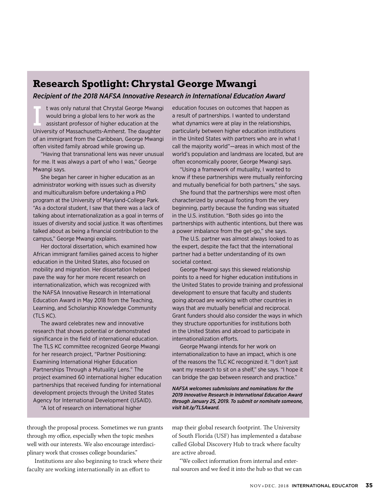# **Research Spotlight: Chrystal George Mwangi**

### *Recipient of the 2018 NAFSA Innovative Research in International Education Award*

t was only natural that Chrystal George Mwangi would bring a global lens to her work as the assistant professor of higher education at the University of Massachusetts-Amherst. The daughter of an immigrant from the Caribbean, George Mwangi often visited family abroad while growing up.

"Having that transnational lens was never unusual for me. It was always a part of who I was," George Mwangi says.

She began her career in higher education as an administrator working with issues such as diversity and multiculturalism before undertaking a PhD program at the University of Maryland-College Park. "As a doctoral student, I saw that there was a lack of talking about internationalization as a goal in terms of issues of diversity and social justice. It was oftentimes talked about as being a financial contribution to the campus," George Mwangi explains.

Her doctoral dissertation, which examined how African immigrant families gained access to higher education in the United States, also focused on mobility and migration. Her dissertation helped pave the way for her more recent research on internationalization, which was recognized with the NAFSA Innovative Research in International Education Award in May 2018 from the Teaching, Learning, and Scholarship Knowledge Community (TLS KC).

The award celebrates new and innovative research that shows potential or demonstrated significance in the field of international education. The TLS KC committee recognized George Mwangi for her research project, "Partner Positioning: Examining International Higher Education Partnerships Through a Mutuality Lens." The project examined 60 international higher education partnerships that received funding for international development projects through the United States Agency for International Development (USAID).

"A lot of research on international higher

through the proposal process. Sometimes we run grants through my office, especially when the topic meshes well with our interests. We also encourage interdisciplinary work that crosses college boundaries."

Institutions are also beginning to track where their faculty are working internationally in an effort to

education focuses on outcomes that happen as a result of partnerships. I wanted to understand what dynamics were at play in the relationships, particularly between higher education institutions in the United States with partners who are in what I call the majority world"—areas in which most of the world's population and landmass are located, but are often economically poorer, George Mwangi says.

"Using a framework of mutuality, I wanted to know if these partnerships were mutually reinforcing and mutually beneficial for both partners," she says.

She found that the partnerships were most often characterized by unequal footing from the very beginning, partly because the funding was situated in the U.S. institution. "Both sides go into the partnerships with authentic intentions, but there was a power imbalance from the get-go," she says.

The U.S. partner was almost always looked to as the expert, despite the fact that the international partner had a better understanding of its own societal context.

George Mwangi says this skewed relationship points to a need for higher education institutions in the United States to provide training and professional development to ensure that faculty and students going abroad are working with other countries in ways that are mutually beneficial and reciprocal. Grant funders should also consider the ways in which they structure opportunities for institutions both in the United States and abroad to participate in internationalization efforts.

George Mwangi intends for her work on internationalization to have an impact, which is one of the reasons the TLC KC recognized it. "I don't just want my research to sit on a shelf," she says. "I hope it can bridge the gap between research and practice."

*NAFSA welcomes submissions and nominations for the 2019 Innovative Research in International Education Award through January 25, 2019. To submit or nominate someone, visit bit.ly/TLSAward.*

map their global research footprint. The University of South Florida (USF) has implemented a database called Global Discovery Hub to track where faculty are active abroad.

"We collect information from internal and external sources and we feed it into the hub so that we can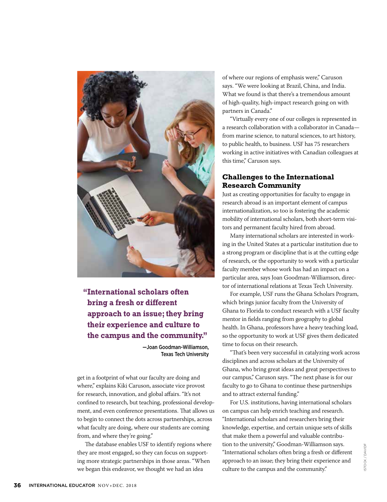

# **"International scholars often bring a fresh or different approach to an issue; they bring their experience and culture to the campus and the community."**

—Joan Goodman-Williamson, Texas Tech University

get in a footprint of what our faculty are doing and where," explains Kiki Caruson, associate vice provost for research, innovation, and global affairs. "It's not confined to research, but teaching, professional development, and even conference presentations. That allows us to begin to connect the dots across partnerships, across what faculty are doing, where our students are coming from, and where they're going."

The database enables USF to identify regions where they are most engaged, so they can focus on supporting more strategic partnerships in those areas. "When we began this endeavor, we thought we had an idea

of where our regions of emphasis were," Caruson says. "We were looking at Brazil, China, and India. What we found is that there's a tremendous amount of high-quality, high-impact research going on with partners in Canada."

"Virtually every one of our colleges is represented in a research collaboration with a collaborator in Canada from marine science, to natural sciences, to art history, to public health, to business. USF has 75 researchers working in active initiatives with Canadian colleagues at this time," Caruson says.

## **Challenges to the International Research Community**

Just as creating opportunities for faculty to engage in research abroad is an important element of campus internationalization, so too is fostering the academic mobility of international scholars, both short-term visitors and permanent faculty hired from abroad.

Many international scholars are interested in working in the United States at a particular institution due to a strong program or discipline that is at the cutting edge of research, or the opportunity to work with a particular faculty member whose work has had an impact on a particular area, says Joan Goodman-Williamson, director of international relations at Texas Tech University.

For example, USF runs the Ghana Scholars Program, which brings junior faculty from the University of Ghana to Florida to conduct research with a USF faculty mentor in fields ranging from geography to global health. In Ghana, professors have a heavy teaching load, so the opportunity to work at USF gives them dedicated time to focus on their research.

"That's been very successful in catalyzing work across disciplines and across scholars at the University of Ghana, who bring great ideas and great perspectives to our campus," Caruson says. "The next phase is for our faculty to go to Ghana to continue these partnerships and to attract external funding."

For U.S. institutions, having international scholars on campus can help enrich teaching and research. "International scholars and researchers bring their knowledge, expertise, and certain unique sets of skills that make them a powerful and valuable contribution to the university," Goodman-Williamson says. "International scholars often bring a fresh or different approach to an issue; they bring their experience and culture to the campus and the community."